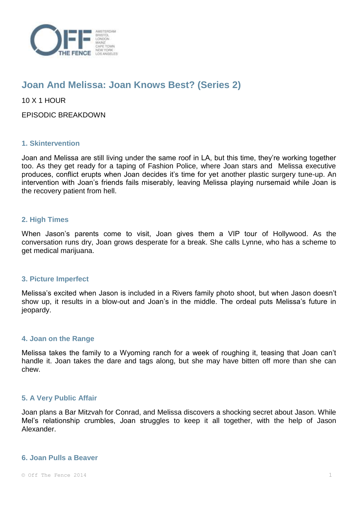

# **Joan And Melissa: Joan Knows Best? (Series 2)**

10 X 1 HOUR

EPISODIC BREAKDOWN

# **1. Skintervention**

Joan and Melissa are still living under the same roof in LA, but this time, they're working together too. As they get ready for a taping of Fashion Police, where Joan stars and Melissa executive produces, conflict erupts when Joan decides it's time for yet another plastic surgery tune-up. An intervention with Joan's friends fails miserably, leaving Melissa playing nursemaid while Joan is the recovery patient from hell.

# **2. High Times**

When Jason's parents come to visit, Joan gives them a VIP tour of Hollywood. As the conversation runs dry, Joan grows desperate for a break. She calls Lynne, who has a scheme to get medical marijuana.

## **3. Picture Imperfect**

Melissa's excited when Jason is included in a Rivers family photo shoot, but when Jason doesn't show up, it results in a blow-out and Joan's in the middle. The ordeal puts Melissa's future in jeopardy.

## **4. Joan on the Range**

Melissa takes the family to a Wyoming ranch for a week of roughing it, teasing that Joan can't handle it. Joan takes the dare and tags along, but she may have bitten off more than she can chew.

## **5. A Very Public Affair**

Joan plans a Bar Mitzvah for Conrad, and Melissa discovers a shocking secret about Jason. While Mel's relationship crumbles, Joan struggles to keep it all together, with the help of Jason Alexander.

#### **6. Joan Pulls a Beaver**

 $\circ$  Off The Fence 2014 1